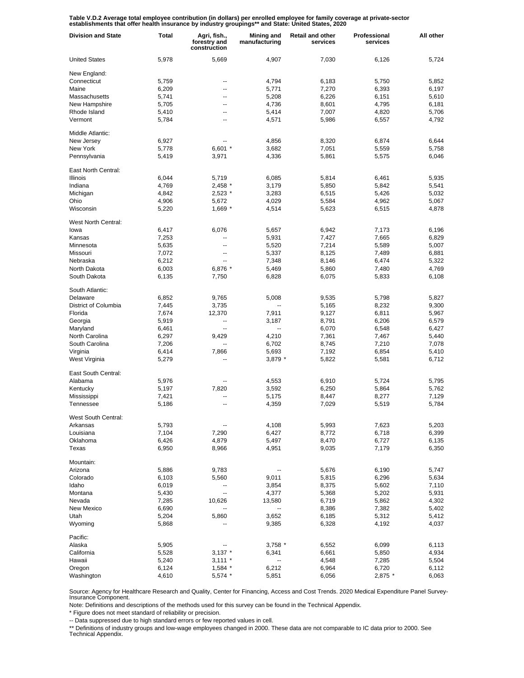Table V.D.2 Average total employee contribution (in dollars) per enrolled employee for family coverage at private-sector<br>establishments that offer health insurance by industry groupings\*\* and State: United States, 2020

| <b>Division and State</b> | <b>Total</b> | Agri, fish.,<br>forestry and<br>construction | Mining and<br>manufacturing | <b>Retail and other</b><br>services | Professional<br>services | All other |
|---------------------------|--------------|----------------------------------------------|-----------------------------|-------------------------------------|--------------------------|-----------|
| <b>United States</b>      | 5,978        | 5,669                                        | 4,907                       | 7,030                               | 6,126                    | 5,724     |
| New England:              |              |                                              |                             |                                     |                          |           |
| Connecticut               | 5,759        | --                                           | 4,794                       | 6,183                               | 5,750                    | 5,852     |
| Maine                     | 6,209        | --                                           | 5,771                       | 7,270                               | 6,393                    | 6,197     |
| Massachusetts             | 5,741        | --                                           | 5,208                       | 6,226                               | 6,151                    | 5,610     |
| New Hampshire             | 5,705        | --                                           | 4,736                       | 8,601                               | 4,795                    | 6,181     |
| Rhode Island              | 5,410        | --                                           | 5,414                       | 7,007                               | 4,820                    | 5,706     |
| Vermont                   | 5,784        | --                                           | 4,571                       | 5,986                               | 6,557                    | 4,792     |
| Middle Atlantic:          |              |                                              |                             |                                     |                          |           |
| New Jersey                | 6,927        |                                              | 4,856                       | 8,320                               | 6,874                    | 6,644     |
| New York                  | 5,778        | $6,601$ *                                    | 3,682                       | 7,051                               | 5,559                    | 5,758     |
| Pennsylvania              | 5,419        | 3,971                                        | 4,336                       | 5,861                               | 5,575                    | 6,046     |
| East North Central:       |              |                                              |                             |                                     |                          |           |
| <b>Illinois</b>           | 6,044        | 5,719                                        | 6,085                       | 5,814                               | 6,461                    | 5,935     |
| Indiana                   | 4,769        | $2,458$ *                                    | 3,179                       | 5,850                               | 5,842                    | 5,541     |
| Michigan                  | 4,842        | 2,523 *                                      | 3,283                       | 6,515                               | 5,426                    | 5,032     |
| Ohio                      | 4,906        | 5,672                                        | 4,029                       | 5,584                               | 4,962                    | 5,067     |
| Wisconsin                 | 5,220        | $1,669$ *                                    | 4,514                       | 5,623                               | 6,515                    | 4,878     |
| West North Central:       |              |                                              |                             |                                     |                          |           |
| lowa                      | 6,417        | 6,076                                        | 5,657                       | 6,942                               | 7,173                    | 6,196     |
| Kansas                    | 7,253        | --                                           | 5,931                       | 7,427                               | 7,665                    | 6,829     |
| Minnesota                 | 5,635        | --                                           | 5,520                       | 7,214                               | 5,589                    | 5,007     |
| Missouri                  | 7,072        | --                                           | 5,337                       | 8,125                               | 7,489                    | 6,881     |
| Nebraska                  | 6,212        | --                                           | 7,348                       | 8,146                               | 6,474                    | 5,322     |
| North Dakota              | 6,003        | 6,876 *                                      | 5,469                       | 5,860                               | 7,480                    | 4,769     |
| South Dakota              | 6,135        | 7,750                                        | 6,828                       | 6,075                               | 5,833                    | 6,108     |
| South Atlantic:           |              |                                              |                             |                                     |                          |           |
| Delaware                  | 6,852        | 9,765                                        | 5,008                       | 9,535                               | 5,798                    | 5,827     |
| District of Columbia      | 7,445        | 3,735                                        |                             | 5,165                               | 8,232                    | 9,300     |
| Florida                   | 7,674        | 12,370                                       | 7,911                       | 9,127                               | 6,811                    | 5,967     |
| Georgia                   | 5,919        | --                                           | 3,187                       | 8,791                               | 6,206                    | 6,579     |
| Maryland                  | 6,461        | --                                           | $\overline{a}$              | 6,070                               | 6,548                    | 6,427     |
| North Carolina            | 6,297        | 9,429                                        | 4,210                       | 7,361                               | 7,467                    | 5,440     |
| South Carolina            | 7,206        |                                              | 6,702                       | 8,745                               | 7,210                    | 7,078     |
| Virginia                  | 6,414        | 7,866                                        | 5,693                       | 7,192                               | 6,854                    | 5,410     |
| West Virginia             | 5,279        |                                              | $3,879$ *                   | 5,822                               | 5,581                    | 6,712     |
| East South Central:       |              |                                              |                             |                                     |                          |           |
| Alabama                   | 5,976        |                                              | 4,553                       | 6,910                               | 5,724                    | 5,795     |
| Kentucky                  | 5,197        | 7,820                                        | 3,592                       | 6,250                               | 5,864                    | 5,762     |
| Mississippi               | 7,421        |                                              | 5,175                       | 8,447                               | 8,277                    | 7,129     |
| Tennessee                 | 5,186        |                                              | 4,359                       | 7,029                               | 5,519                    | 5,784     |
| West South Central:       |              |                                              |                             |                                     |                          |           |
| Arkansas                  | 5,793        |                                              | 4,108                       | 5,993                               | 7,623                    | 5,203     |
| Louisiana                 | 7,104        | 7,290                                        | 6,427                       | 8,772                               | 6,718                    | 6,399     |
| Oklahoma                  | 6,426        | 4,879                                        | 5,497                       | 8,470                               | 6,727                    | 6,135     |
| Texas                     | 6,950        | 8,966                                        | 4,951                       | 9,035                               | 7,179                    | 6,350     |
| Mountain:                 |              |                                              |                             |                                     |                          |           |
| Arizona                   | 5,886        | 9,783                                        |                             | 5,676                               | 6,190                    | 5,747     |
| Colorado                  | 6,103        | 5,560                                        | 9,011                       | 5,815                               | 6,296                    | 5,634     |
| Idaho                     | 6,019        | --                                           | 3,854                       | 8,375                               | 5,602                    | 7,110     |
| Montana                   | 5,430        | -−                                           | 4,377                       | 5,368                               | 5,202                    | 5,931     |
| Nevada                    | 7,285        | 10,626                                       | 13,580                      | 6,719                               | 5,862                    | 4,302     |
| New Mexico                | 6,690        | --                                           | $\overline{\phantom{a}}$    | 8,386                               | 7,382                    | 5,402     |
| Utah                      | 5,204        | 5,860                                        | 3,652                       | 6,185                               | 5,312                    | 5,412     |
| Wyoming                   | 5,868        |                                              | 9,385                       | 6,328                               | 4,192                    | 4,037     |
| Pacific:                  |              |                                              |                             |                                     |                          |           |
| Alaska                    | 5,905        |                                              | 3,758 *                     | 6,552                               | 6,099                    | 6,113     |
| California                | 5,528        | $3,137$ *                                    | 6,341                       | 6,661                               | 5,850                    | 4,934     |
| Hawaii                    | 5,240        | $3,111$ *                                    | --                          | 4,548                               | 7,285                    | 5,504     |
| Oregon                    | 6,124        | 1,584 *                                      | 6,212                       | 6,964                               | 6,720                    | 6,112     |
| Washington                | 4,610        | 5,574 *                                      | 5,851                       | 6,056                               | 2,875 *                  | 6,063     |

Source: Agency for Healthcare Research and Quality, Center for Financing, Access and Cost Trends. 2020 Medical Expenditure Panel Survey-Insurance Component.

Note: Definitions and descriptions of the methods used for this survey can be found in the Technical Appendix.

\* Figure does not meet standard of reliability or precision.

-- Data suppressed due to high standard errors or few reported values in cell.

\*\* Definitions of industry groups and low-wage employees changed in 2000. These data are not comparable to IC data prior to 2000. See Technical Appendix.